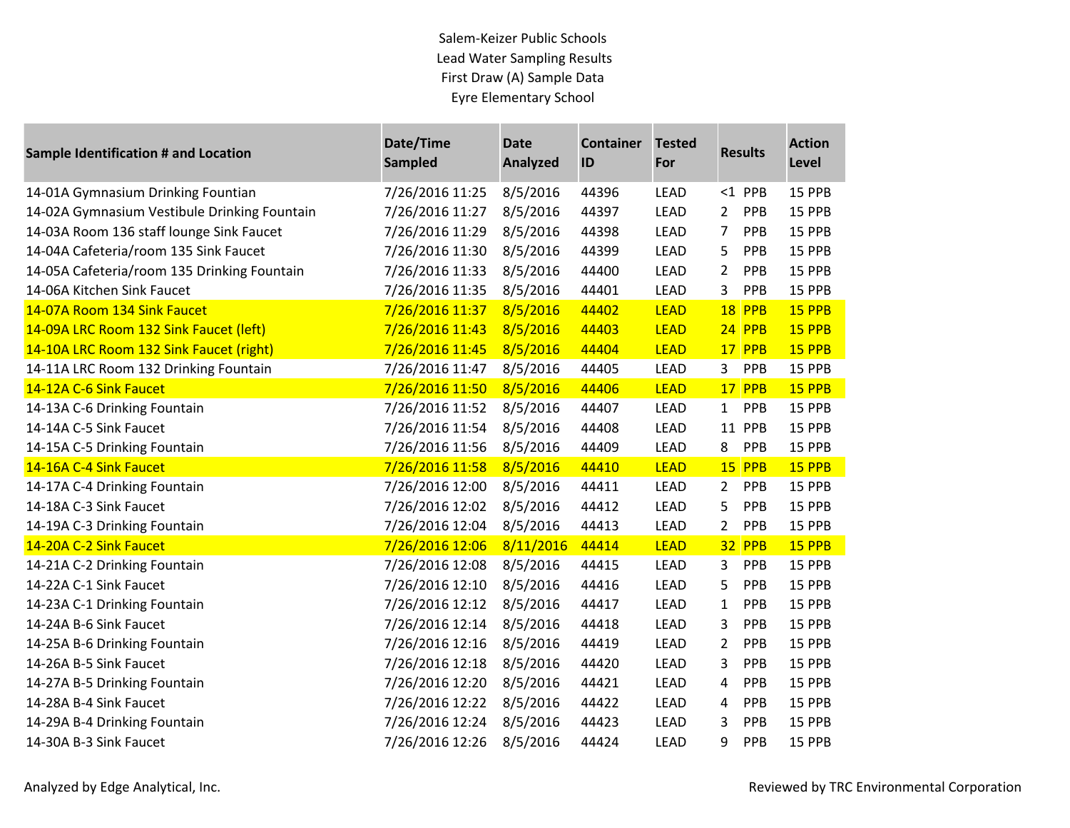| <b>Sample Identification # and Location</b>  | Date/Time<br><b>Sampled</b> | <b>Date</b><br><b>Analyzed</b> | <b>Container</b><br>ID | <b>Tested</b><br>For |                | <b>Results</b> | <b>Action</b><br>Level |
|----------------------------------------------|-----------------------------|--------------------------------|------------------------|----------------------|----------------|----------------|------------------------|
| 14-01A Gymnasium Drinking Fountian           | 7/26/2016 11:25             | 8/5/2016                       | 44396                  | <b>LEAD</b>          |                | $<$ 1 PPB      | 15 PPB                 |
| 14-02A Gymnasium Vestibule Drinking Fountain | 7/26/2016 11:27             | 8/5/2016                       | 44397                  | <b>LEAD</b>          | $\overline{2}$ | PPB            | 15 PPB                 |
| 14-03A Room 136 staff lounge Sink Faucet     | 7/26/2016 11:29             | 8/5/2016                       | 44398                  | <b>LEAD</b>          | 7              | PPB            | 15 PPB                 |
| 14-04A Cafeteria/room 135 Sink Faucet        | 7/26/2016 11:30             | 8/5/2016                       | 44399                  | <b>LEAD</b>          | 5              | PPB            | 15 PPB                 |
| 14-05A Cafeteria/room 135 Drinking Fountain  | 7/26/2016 11:33             | 8/5/2016                       | 44400                  | <b>LEAD</b>          | $\overline{2}$ | PPB            | 15 PPB                 |
| 14-06A Kitchen Sink Faucet                   | 7/26/2016 11:35             | 8/5/2016                       | 44401                  | <b>LEAD</b>          | 3              | PPB            | 15 PPB                 |
| 14-07A Room 134 Sink Faucet                  | 7/26/2016 11:37             | 8/5/2016                       | 44402                  | <b>LEAD</b>          | 18             | <b>PPB</b>     | 15 PPB                 |
| 14-09A LRC Room 132 Sink Faucet (left)       | 7/26/2016 11:43             | 8/5/2016                       | 44403                  | <b>LEAD</b>          |                | 24 PPB         | 15 PPB                 |
| 14-10A LRC Room 132 Sink Faucet (right)      | 7/26/2016 11:45             | 8/5/2016                       | 44404                  | <b>LEAD</b>          | 17             | PPB            | 15 PPB                 |
| 14-11A LRC Room 132 Drinking Fountain        | 7/26/2016 11:47             | 8/5/2016                       | 44405                  | <b>LEAD</b>          | 3              | PPB            | 15 PPB                 |
| 14-12A C-6 Sink Faucet                       | 7/26/2016 11:50             | 8/5/2016                       | 44406                  | <b>LEAD</b>          |                | 17 PPB         | 15 PPB                 |
| 14-13A C-6 Drinking Fountain                 | 7/26/2016 11:52             | 8/5/2016                       | 44407                  | <b>LEAD</b>          | $\mathbf{1}$   | PPB            | 15 PPB                 |
| 14-14A C-5 Sink Faucet                       | 7/26/2016 11:54             | 8/5/2016                       | 44408                  | <b>LEAD</b>          | 11             | PPB            | 15 PPB                 |
| 14-15A C-5 Drinking Fountain                 | 7/26/2016 11:56             | 8/5/2016                       | 44409                  | <b>LEAD</b>          | 8              | PPB            | 15 PPB                 |
| 14-16A C-4 Sink Faucet                       | 7/26/2016 11:58             | 8/5/2016                       | 44410                  | <b>LEAD</b>          | 15             | PPB            | 15 PPB                 |
| 14-17A C-4 Drinking Fountain                 | 7/26/2016 12:00             | 8/5/2016                       | 44411                  | <b>LEAD</b>          | $2^{\circ}$    | PPB            | 15 PPB                 |
| 14-18A C-3 Sink Faucet                       | 7/26/2016 12:02             | 8/5/2016                       | 44412                  | <b>LEAD</b>          | 5              | PPB            | 15 PPB                 |
| 14-19A C-3 Drinking Fountain                 | 7/26/2016 12:04             | 8/5/2016                       | 44413                  | <b>LEAD</b>          | $\overline{2}$ | PPB            | 15 PPB                 |
| 14-20A C-2 Sink Faucet                       | 7/26/2016 12:06             | 8/11/2016                      | 44414                  | <b>LEAD</b>          |                | <b>32 PPB</b>  | 15 PPB                 |
| 14-21A C-2 Drinking Fountain                 | 7/26/2016 12:08             | 8/5/2016                       | 44415                  | <b>LEAD</b>          | 3              | PPB            | 15 PPB                 |
| 14-22A C-1 Sink Faucet                       | 7/26/2016 12:10             | 8/5/2016                       | 44416                  | <b>LEAD</b>          | 5              | PPB            | 15 PPB                 |
| 14-23A C-1 Drinking Fountain                 | 7/26/2016 12:12             | 8/5/2016                       | 44417                  | <b>LEAD</b>          | $\mathbf{1}$   | PPB            | 15 PPB                 |
| 14-24A B-6 Sink Faucet                       | 7/26/2016 12:14             | 8/5/2016                       | 44418                  | <b>LEAD</b>          | 3              | PPB            | 15 PPB                 |
| 14-25A B-6 Drinking Fountain                 | 7/26/2016 12:16             | 8/5/2016                       | 44419                  | <b>LEAD</b>          | 2              | PPB            | 15 PPB                 |
| 14-26A B-5 Sink Faucet                       | 7/26/2016 12:18             | 8/5/2016                       | 44420                  | <b>LEAD</b>          | 3              | PPB            | 15 PPB                 |
| 14-27A B-5 Drinking Fountain                 | 7/26/2016 12:20             | 8/5/2016                       | 44421                  | <b>LEAD</b>          | 4              | PPB            | 15 PPB                 |
| 14-28A B-4 Sink Faucet                       | 7/26/2016 12:22             | 8/5/2016                       | 44422                  | <b>LEAD</b>          | 4              | PPB            | 15 PPB                 |
| 14-29A B-4 Drinking Fountain                 | 7/26/2016 12:24             | 8/5/2016                       | 44423                  | <b>LEAD</b>          | 3              | PPB            | 15 PPB                 |
| 14-30A B-3 Sink Faucet                       | 7/26/2016 12:26             | 8/5/2016                       | 44424                  | <b>LEAD</b>          | 9              | PPB            | 15 PPB                 |

**Contract Contract**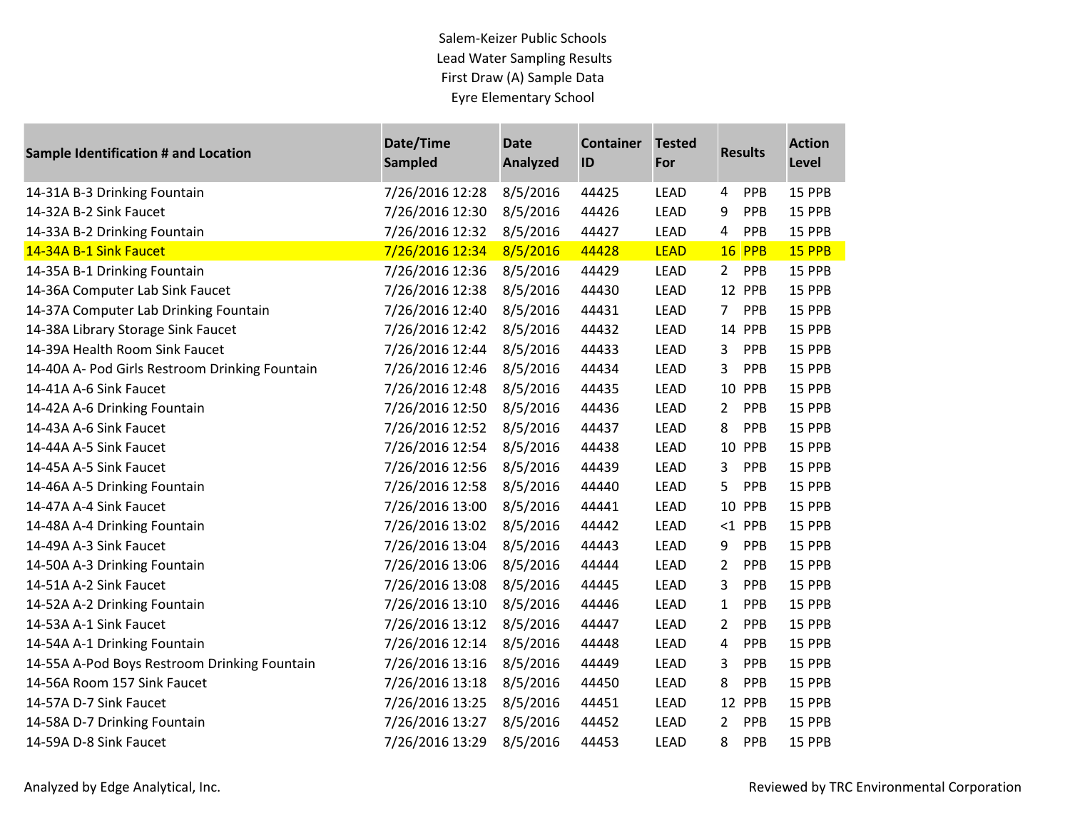| <b>Sample Identification # and Location</b>    | Date/Time<br><b>Sampled</b> | <b>Date</b><br><b>Analyzed</b> | <b>Container</b><br>ID | <b>Tested</b><br>For |                | <b>Results</b> | <b>Action</b><br>Level |
|------------------------------------------------|-----------------------------|--------------------------------|------------------------|----------------------|----------------|----------------|------------------------|
| 14-31A B-3 Drinking Fountain                   | 7/26/2016 12:28             | 8/5/2016                       | 44425                  | <b>LEAD</b>          | 4              | PPB            | 15 PPB                 |
| 14-32A B-2 Sink Faucet                         | 7/26/2016 12:30             | 8/5/2016                       | 44426                  | <b>LEAD</b>          | 9              | PPB            | 15 PPB                 |
| 14-33A B-2 Drinking Fountain                   | 7/26/2016 12:32             | 8/5/2016                       | 44427                  | LEAD                 | $\overline{4}$ | PPB            | 15 PPB                 |
| 14-34A B-1 Sink Faucet                         | 7/26/2016 12:34             | 8/5/2016                       | 44428                  | <b>LEAD</b>          |                | <b>16 PPB</b>  | 15 PPB                 |
| 14-35A B-1 Drinking Fountain                   | 7/26/2016 12:36             | 8/5/2016                       | 44429                  | <b>LEAD</b>          | $2^{\circ}$    | PPB            | 15 PPB                 |
| 14-36A Computer Lab Sink Faucet                | 7/26/2016 12:38             | 8/5/2016                       | 44430                  | <b>LEAD</b>          |                | 12 PPB         | 15 PPB                 |
| 14-37A Computer Lab Drinking Fountain          | 7/26/2016 12:40             | 8/5/2016                       | 44431                  | <b>LEAD</b>          | 7              | PPB            | 15 PPB                 |
| 14-38A Library Storage Sink Faucet             | 7/26/2016 12:42             | 8/5/2016                       | 44432                  | LEAD                 |                | 14 PPB         | 15 PPB                 |
| 14-39A Health Room Sink Faucet                 | 7/26/2016 12:44             | 8/5/2016                       | 44433                  | LEAD                 | 3              | PPB            | 15 PPB                 |
| 14-40A A- Pod Girls Restroom Drinking Fountain | 7/26/2016 12:46             | 8/5/2016                       | 44434                  | <b>LEAD</b>          | 3              | PPB            | 15 PPB                 |
| 14-41A A-6 Sink Faucet                         | 7/26/2016 12:48             | 8/5/2016                       | 44435                  | <b>LEAD</b>          |                | 10 PPB         | 15 PPB                 |
| 14-42A A-6 Drinking Fountain                   | 7/26/2016 12:50             | 8/5/2016                       | 44436                  | <b>LEAD</b>          | $\mathbf{2}$   | PPB            | 15 PPB                 |
| 14-43A A-6 Sink Faucet                         | 7/26/2016 12:52             | 8/5/2016                       | 44437                  | <b>LEAD</b>          | 8              | PPB            | 15 PPB                 |
| 14-44A A-5 Sink Faucet                         | 7/26/2016 12:54             | 8/5/2016                       | 44438                  | LEAD                 |                | 10 PPB         | 15 PPB                 |
| 14-45A A-5 Sink Faucet                         | 7/26/2016 12:56             | 8/5/2016                       | 44439                  | <b>LEAD</b>          | 3              | PPB            | 15 PPB                 |
| 14-46A A-5 Drinking Fountain                   | 7/26/2016 12:58             | 8/5/2016                       | 44440                  | <b>LEAD</b>          | 5              | PPB            | 15 PPB                 |
| 14-47A A-4 Sink Faucet                         | 7/26/2016 13:00             | 8/5/2016                       | 44441                  | <b>LEAD</b>          |                | 10 PPB         | 15 PPB                 |
| 14-48A A-4 Drinking Fountain                   | 7/26/2016 13:02             | 8/5/2016                       | 44442                  | <b>LEAD</b>          |                | $<$ 1 PPB      | 15 PPB                 |
| 14-49A A-3 Sink Faucet                         | 7/26/2016 13:04             | 8/5/2016                       | 44443                  | <b>LEAD</b>          | 9              | PPB            | 15 PPB                 |
| 14-50A A-3 Drinking Fountain                   | 7/26/2016 13:06             | 8/5/2016                       | 44444                  | <b>LEAD</b>          | 2              | PPB            | 15 PPB                 |
| 14-51A A-2 Sink Faucet                         | 7/26/2016 13:08             | 8/5/2016                       | 44445                  | <b>LEAD</b>          | 3              | PPB            | 15 PPB                 |
| 14-52A A-2 Drinking Fountain                   | 7/26/2016 13:10             | 8/5/2016                       | 44446                  | <b>LEAD</b>          | $\mathbf{1}$   | PPB            | 15 PPB                 |
| 14-53A A-1 Sink Faucet                         | 7/26/2016 13:12             | 8/5/2016                       | 44447                  | <b>LEAD</b>          | 2              | PPB            | 15 PPB                 |
| 14-54A A-1 Drinking Fountain                   | 7/26/2016 12:14             | 8/5/2016                       | 44448                  | <b>LEAD</b>          | 4              | PPB            | 15 PPB                 |
| 14-55A A-Pod Boys Restroom Drinking Fountain   | 7/26/2016 13:16             | 8/5/2016                       | 44449                  | <b>LEAD</b>          | 3              | PPB            | 15 PPB                 |
| 14-56A Room 157 Sink Faucet                    | 7/26/2016 13:18             | 8/5/2016                       | 44450                  | <b>LEAD</b>          | 8              | PPB            | 15 PPB                 |
| 14-57A D-7 Sink Faucet                         | 7/26/2016 13:25             | 8/5/2016                       | 44451                  | <b>LEAD</b>          |                | 12 PPB         | 15 PPB                 |
| 14-58A D-7 Drinking Fountain                   | 7/26/2016 13:27             | 8/5/2016                       | 44452                  | <b>LEAD</b>          | 2              | PPB            | 15 PPB                 |
| 14-59A D-8 Sink Faucet                         | 7/26/2016 13:29             | 8/5/2016                       | 44453                  | <b>LEAD</b>          | 8              | PPB            | 15 PPB                 |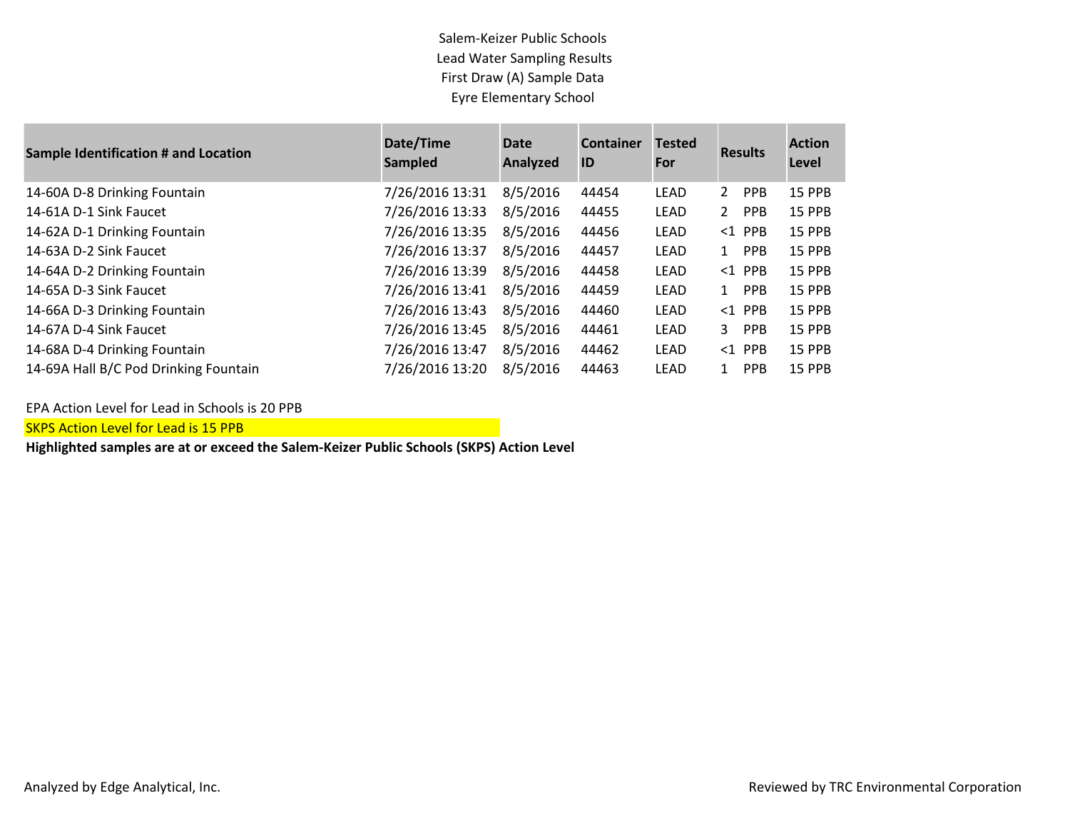| <b>Sample Identification # and Location</b> | Date/Time<br><b>Sampled</b> | <b>Date</b><br>Analyzed | <b>Container</b><br>ID | <b>Tested</b><br>For | <b>Results</b>                      | <b>Action</b><br>Level |
|---------------------------------------------|-----------------------------|-------------------------|------------------------|----------------------|-------------------------------------|------------------------|
| 14-60A D-8 Drinking Fountain                | 7/26/2016 13:31             | 8/5/2016                | 44454                  | LEAD                 | $\mathbf{2}^{\prime}$<br><b>PPB</b> | <b>15 PPB</b>          |
| 14-61A D-1 Sink Faucet                      | 7/26/2016 13:33             | 8/5/2016                | 44455                  | LEAD                 | $\mathbf{2}$<br><b>PPB</b>          | <b>15 PPB</b>          |
| 14-62A D-1 Drinking Fountain                | 7/26/2016 13:35             | 8/5/2016                | 44456                  | LEAD                 | $<$ 1 PPB                           | <b>15 PPB</b>          |
| 14-63A D-2 Sink Faucet                      | 7/26/2016 13:37             | 8/5/2016                | 44457                  | LEAD                 | <b>PPB</b><br>$\mathbf{1}$          | <b>15 PPB</b>          |
| 14-64A D-2 Drinking Fountain                | 7/26/2016 13:39             | 8/5/2016                | 44458                  | LEAD                 | $<1$ PPB                            | <b>15 PPB</b>          |
| 14-65A D-3 Sink Faucet                      | 7/26/2016 13:41             | 8/5/2016                | 44459                  | LEAD                 | <b>PPB</b><br>$\mathbf{1}$          | <b>15 PPB</b>          |
| 14-66A D-3 Drinking Fountain                | 7/26/2016 13:43             | 8/5/2016                | 44460                  | LEAD                 | $<1$ PPB                            | <b>15 PPB</b>          |
| 14-67A D-4 Sink Faucet                      | 7/26/2016 13:45             | 8/5/2016                | 44461                  | LEAD                 | <b>PPB</b><br>3                     | <b>15 PPB</b>          |
| 14-68A D-4 Drinking Fountain                | 7/26/2016 13:47             | 8/5/2016                | 44462                  | LEAD                 | $<1$ PPB                            | <b>15 PPB</b>          |
| 14-69A Hall B/C Pod Drinking Fountain       | 7/26/2016 13:20             | 8/5/2016                | 44463                  | LEAD                 | <b>PPB</b><br>1                     | <b>15 PPB</b>          |

EPA Action Level for Lead in Schools is 20 PPB

**SKPS Action Level for Lead is 15 PPB**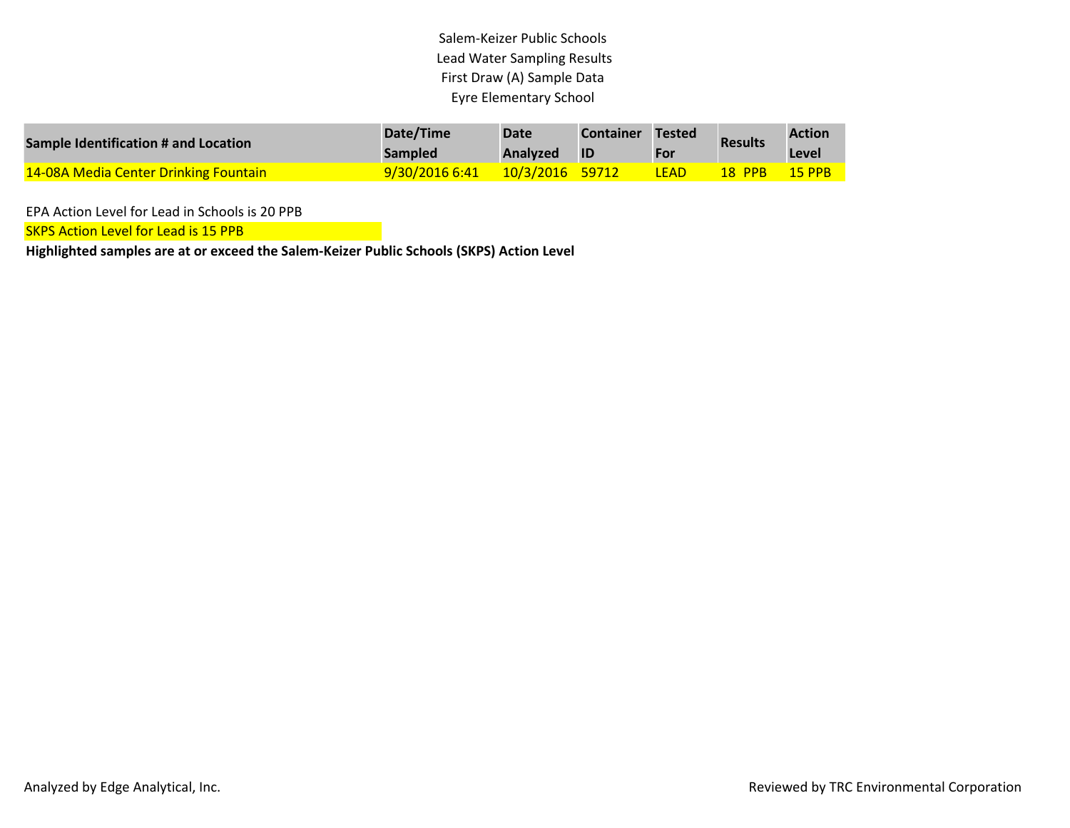| Sample Identification # and Location  | Date/Time<br><b>Sampled</b> | <b>Date</b><br>Analyzed | <b>Container</b><br><b>ID</b> | Tested<br><b>For</b> | <b>Results</b> | <b>Action</b><br>Level |
|---------------------------------------|-----------------------------|-------------------------|-------------------------------|----------------------|----------------|------------------------|
| 14-08A Media Center Drinking Fountain | 9/30/2016 6:41              | <u>10/3/2016 59712</u>  |                               | <b>LEAD</b>          | <b>18 PPB</b>  | $15$ PPB               |

EPA Action Level for Lead in Schools is 20 PPB

**SKPS Action Level for Lead is 15 PPB**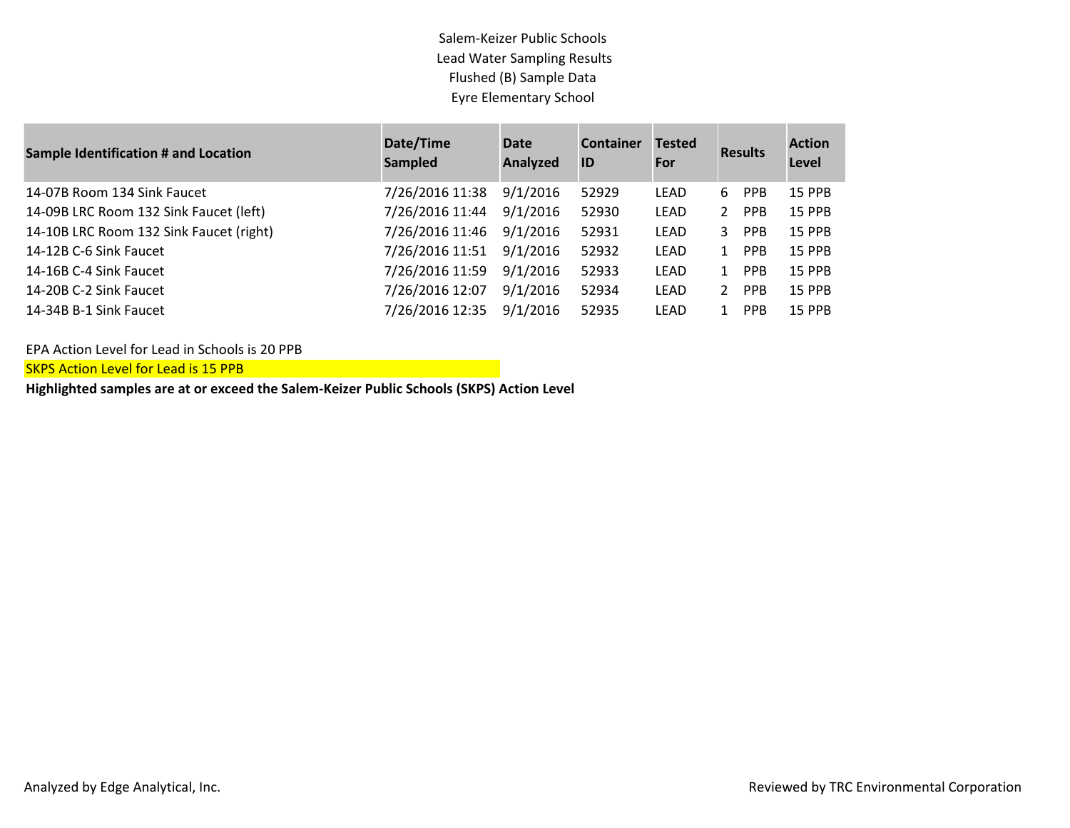| <b>Sample Identification # and Location</b> | Date/Time<br><b>Sampled</b> | Date<br>Analyzed | <b>Container</b><br>ID | <b>Tested</b><br>For |                | <b>Results</b> | <b>Action</b><br>Level |
|---------------------------------------------|-----------------------------|------------------|------------------------|----------------------|----------------|----------------|------------------------|
| 14-07B Room 134 Sink Faucet                 | 7/26/2016 11:38             | 9/1/2016         | 52929                  | LEAD                 | 6              | <b>PPB</b>     | <b>15 PPB</b>          |
| 14-09B LRC Room 132 Sink Faucet (left)      | 7/26/2016 11:44             | 9/1/2016         | 52930                  | LEAD                 | 2              | <b>PPB</b>     | <b>15 PPB</b>          |
| 14-10B LRC Room 132 Sink Faucet (right)     | 7/26/2016 11:46             | 9/1/2016         | 52931                  | LEAD                 | 3              | <b>PPB</b>     | <b>15 PPB</b>          |
| 14-12B C-6 Sink Faucet                      | 7/26/2016 11:51             | 9/1/2016         | 52932                  | LEAD                 | $1\,$          | <b>PPB</b>     | <b>15 PPB</b>          |
| 14-16B C-4 Sink Faucet                      | 7/26/2016 11:59             | 9/1/2016         | 52933                  | LEAD                 | $1\,$          | <b>PPB</b>     | <b>15 PPB</b>          |
| 14-20B C-2 Sink Faucet                      | 7/26/2016 12:07             | 9/1/2016         | 52934                  | LEAD                 | $\overline{2}$ | <b>PPB</b>     | <b>15 PPB</b>          |
| 14-34B B-1 Sink Faucet                      | 7/26/2016 12:35             | 9/1/2016         | 52935                  | LEAD                 | 1              | <b>PPB</b>     | <b>15 PPB</b>          |

EPA Action Level for Lead in Schools is 20 PPB

SKPS Action Level for Lead is 15 PPB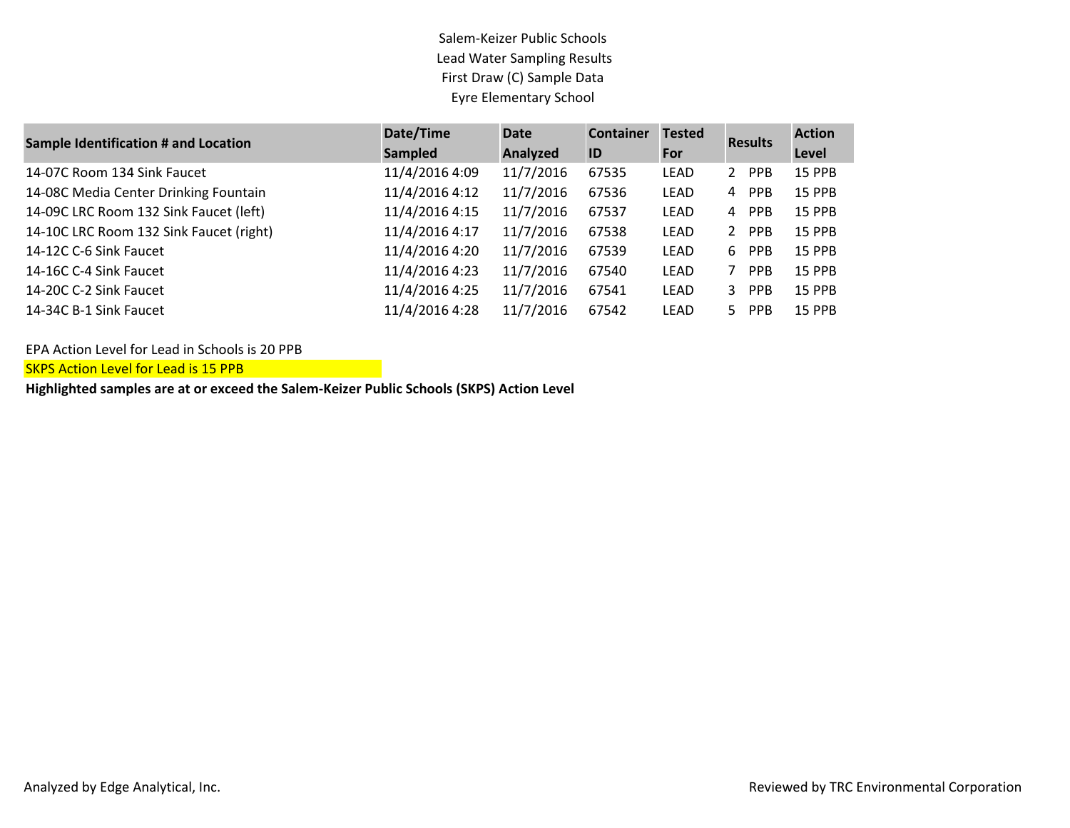| <b>Sample Identification # and Location</b> | Date/Time      | <b>Date</b> | <b>Container</b> | <b>Tested</b> | <b>Results</b> | <b>Action</b> |
|---------------------------------------------|----------------|-------------|------------------|---------------|----------------|---------------|
|                                             | <b>Sampled</b> | Analyzed    | ID               | For           |                | Level         |
| 14-07C Room 134 Sink Faucet                 | 11/4/2016 4:09 | 11/7/2016   | 67535            | LEAD          | 2 PPB          | <b>15 PPB</b> |
| 14-08C Media Center Drinking Fountain       | 11/4/2016 4:12 | 11/7/2016   | 67536            | <b>LEAD</b>   | 4 PPB          | 15 PPB        |
| 14-09C LRC Room 132 Sink Faucet (left)      | 11/4/2016 4:15 | 11/7/2016   | 67537            | <b>LEAD</b>   | PPB<br>4       | <b>15 PPB</b> |
| 14-10C LRC Room 132 Sink Faucet (right)     | 11/4/2016 4:17 | 11/7/2016   | 67538            | <b>LEAD</b>   | PPB<br>2       | 15 PPB        |
| 14-12C C-6 Sink Faucet                      | 11/4/2016 4:20 | 11/7/2016   | 67539            | LEAD          | 6<br>PPB       | <b>15 PPB</b> |
| 14-16C C-4 Sink Faucet                      | 11/4/2016 4:23 | 11/7/2016   | 67540            | <b>LEAD</b>   | <b>PPB</b>     | <b>15 PPB</b> |
| 14-20C C-2 Sink Faucet                      | 11/4/2016 4:25 | 11/7/2016   | 67541            | <b>LEAD</b>   | 3 PPB          | <b>15 PPB</b> |
| 14-34C B-1 Sink Faucet                      | 11/4/2016 4:28 | 11/7/2016   | 67542            | <b>LEAD</b>   | 5 PPB          | <b>15 PPB</b> |

EPA Action Level for Lead in Schools is 20 PPB

**SKPS Action Level for Lead is 15 PPB**